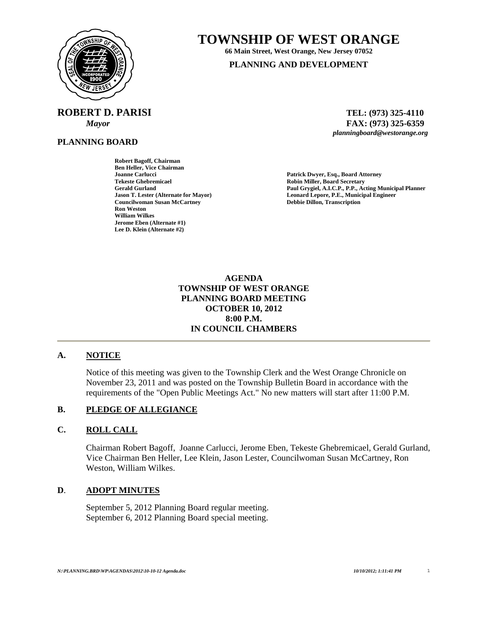

# **TOWNSHIP OF WEST ORANGE**

**66 Main Street, West Orange, New Jersey 07052** 

**PLANNING AND DEVELOPMENT**

**ROBERT D. PARISI TEL: (973) 325-4110** 

**PLANNING BOARD**

**Robert Bagoff, Chairman Ben Heller, Vice Chairman Joanne Carlucci Patrick Dwyer, Esq., Board Attorney Tekeste Ghebremicael Robin Miller, Board Secretary Councilwoman Susan McCartney Ron Weston William Wilkes Jerome Eben (Alternate #1) Lee D. Klein (Alternate #2)** 

 *Mayor* **FAX: (973) 325-6359** *planningboard@westorange.org* 

Paul Grygiel, A.I.C.P., P.P., Acting Municipal Planner **Jason T. Lester (Alternate for Mayor) Leonard Lepore, P.E., Municipal Engineer** 

> **AGENDA TOWNSHIP OF WEST ORANGE PLANNING BOARD MEETING OCTOBER 10, 2012 8:00 P.M. IN COUNCIL CHAMBERS**

# **A. NOTICE**

Notice of this meeting was given to the Township Clerk and the West Orange Chronicle on November 23, 2011 and was posted on the Township Bulletin Board in accordance with the requirements of the "Open Public Meetings Act." No new matters will start after 11:00 P.M.

# **B. PLEDGE OF ALLEGIANCE**

# **C. ROLL CALL**

Chairman Robert Bagoff, Joanne Carlucci, Jerome Eben, Tekeste Ghebremicael, Gerald Gurland, Vice Chairman Ben Heller, Lee Klein, Jason Lester, Councilwoman Susan McCartney, Ron Weston, William Wilkes.

# **D**. **ADOPT MINUTES**

 September 5, 2012 Planning Board regular meeting. September 6, 2012 Planning Board special meeting.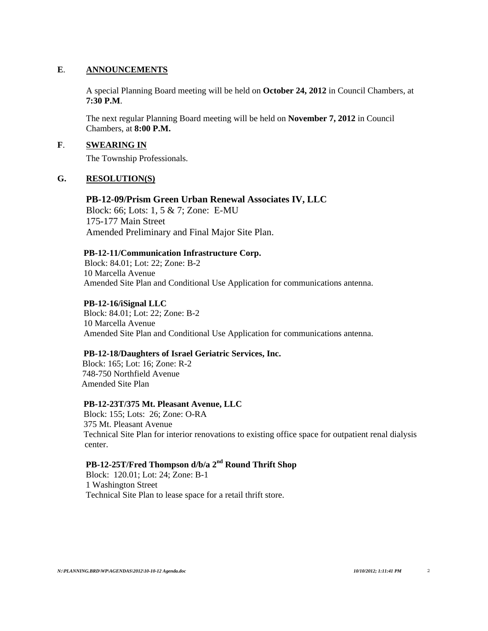#### **E**. **ANNOUNCEMENTS**

 A special Planning Board meeting will be held on **October 24, 2012** in Council Chambers, at **7:30 P.M**.

 The next regular Planning Board meeting will be held on **November 7, 2012** in Council Chambers, at **8:00 P.M.**

# **F**. **SWEARING IN**

The Township Professionals.

#### **G. RESOLUTION(S)**

#### **PB-12-09/Prism Green Urban Renewal Associates IV, LLC**

Block: 66; Lots: 1, 5 & 7; Zone: E-MU 175-177 Main Street Amended Preliminary and Final Major Site Plan.

#### **PB-12-11/Communication Infrastructure Corp.**

Block: 84.01; Lot: 22; Zone: B-2 10 Marcella Avenue Amended Site Plan and Conditional Use Application for communications antenna.

#### **PB-12-16/iSignal LLC**

Block: 84.01; Lot: 22; Zone: B-2 10 Marcella Avenue Amended Site Plan and Conditional Use Application for communications antenna.

#### **PB-12-18/Daughters of Israel Geriatric Services, Inc.**

 Block: 165; Lot: 16; Zone: R-2 748-750 Northfield Avenue Amended Site Plan

#### **PB-12-23T/375 Mt. Pleasant Avenue, LLC**

Block: 155; Lots: 26; Zone: O-RA 375 Mt. Pleasant Avenue Technical Site Plan for interior renovations to existing office space for outpatient renal dialysis center.

# **PB-12-25T/Fred Thompson d/b/a 2nd Round Thrift Shop**

Block: 120.01; Lot: 24; Zone: B-1 1 Washington Street Technical Site Plan to lease space for a retail thrift store.